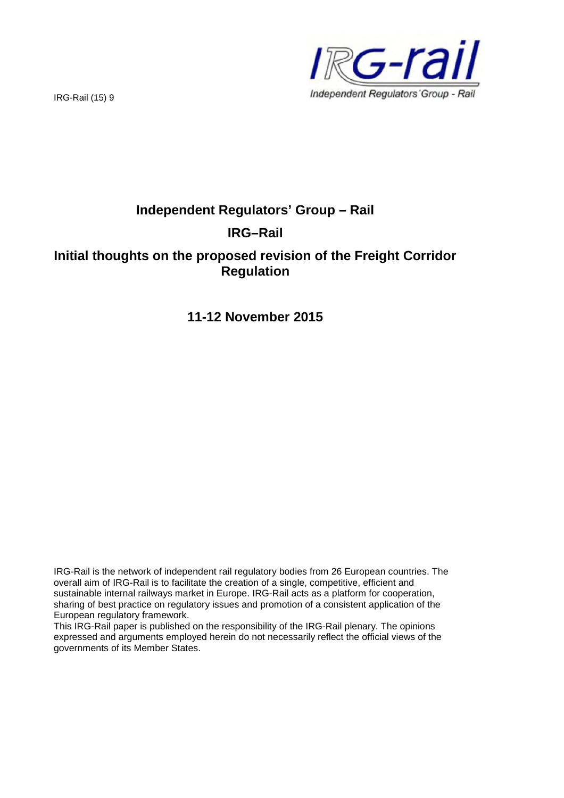

IRG-Rail (15) 9

# **Independent Regulators' Group – Rail IRG–Rail**

## **Initial thoughts on the proposed revision of the Freight Corridor Regulation**

## **11-12 November 2015**

IRG-Rail is the network of independent rail regulatory bodies from 26 European countries. The overall aim of IRG-Rail is to facilitate the creation of a single, competitive, efficient and sustainable internal railways market in Europe. IRG-Rail acts as a platform for cooperation, sharing of best practice on regulatory issues and promotion of a consistent application of the European regulatory framework.

This IRG-Rail paper is published on the responsibility of the IRG-Rail plenary. The opinions expressed and arguments employed herein do not necessarily reflect the official views of the governments of its Member States.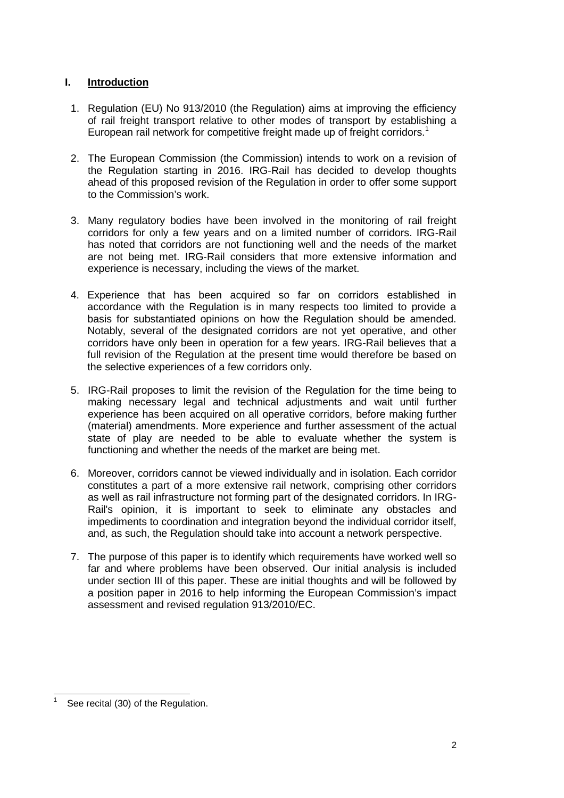### **I. Introduction**

- 1. Regulation (EU) No 913/2010 (the Regulation) aims at improving the efficiency of rail freight transport relative to other modes of transport by establishing a European rail network for competitive freight made up of freight corridors.<sup>1</sup>
- 2. The European Commission (the Commission) intends to work on a revision of the Regulation starting in 2016. IRG-Rail has decided to develop thoughts ahead of this proposed revision of the Regulation in order to offer some support to the Commission's work.
- 3. Many regulatory bodies have been involved in the monitoring of rail freight corridors for only a few years and on a limited number of corridors. IRG-Rail has noted that corridors are not functioning well and the needs of the market are not being met. IRG-Rail considers that more extensive information and experience is necessary, including the views of the market.
- 4. Experience that has been acquired so far on corridors established in accordance with the Regulation is in many respects too limited to provide a basis for substantiated opinions on how the Regulation should be amended. Notably, several of the designated corridors are not yet operative, and other corridors have only been in operation for a few years. IRG-Rail believes that a full revision of the Regulation at the present time would therefore be based on the selective experiences of a few corridors only.
- 5. IRG-Rail proposes to limit the revision of the Regulation for the time being to making necessary legal and technical adjustments and wait until further experience has been acquired on all operative corridors, before making further (material) amendments. More experience and further assessment of the actual state of play are needed to be able to evaluate whether the system is functioning and whether the needs of the market are being met.
- 6. Moreover, corridors cannot be viewed individually and in isolation. Each corridor constitutes a part of a more extensive rail network, comprising other corridors as well as rail infrastructure not forming part of the designated corridors. In IRG-Rail's opinion, it is important to seek to eliminate any obstacles and impediments to coordination and integration beyond the individual corridor itself, and, as such, the Regulation should take into account a network perspective.
- 7. The purpose of this paper is to identify which requirements have worked well so far and where problems have been observed. Our initial analysis is included under section III of this paper. These are initial thoughts and will be followed by a position paper in 2016 to help informing the European Commission's impact assessment and revised regulation 913/2010/EC.

<sup>1</sup> See recital (30) of the Regulation.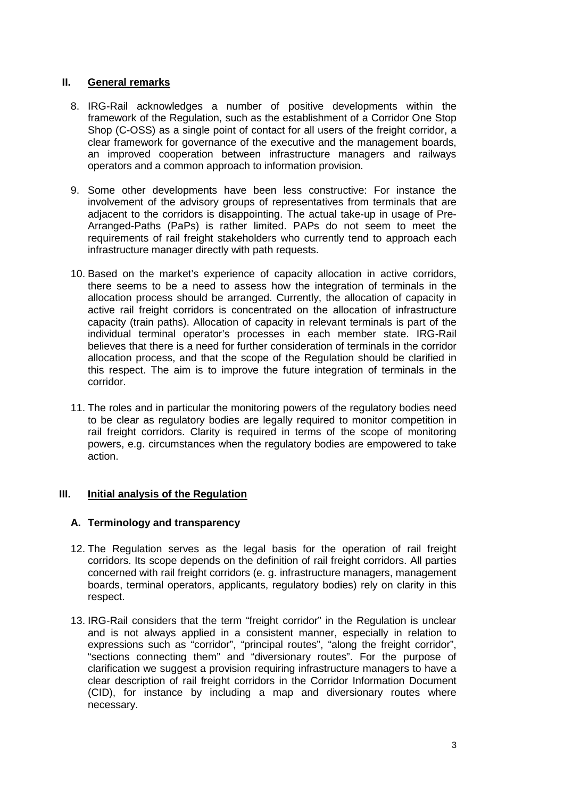#### **II. General remarks**

- 8. IRG-Rail acknowledges a number of positive developments within the framework of the Regulation, such as the establishment of a Corridor One Stop Shop (C-OSS) as a single point of contact for all users of the freight corridor, a clear framework for governance of the executive and the management boards, an improved cooperation between infrastructure managers and railways operators and a common approach to information provision.
- 9. Some other developments have been less constructive: For instance the involvement of the advisory groups of representatives from terminals that are adjacent to the corridors is disappointing. The actual take-up in usage of Pre-Arranged-Paths (PaPs) is rather limited. PAPs do not seem to meet the requirements of rail freight stakeholders who currently tend to approach each infrastructure manager directly with path requests.
- 10. Based on the market's experience of capacity allocation in active corridors, there seems to be a need to assess how the integration of terminals in the allocation process should be arranged. Currently, the allocation of capacity in active rail freight corridors is concentrated on the allocation of infrastructure capacity (train paths). Allocation of capacity in relevant terminals is part of the individual terminal operator's processes in each member state. IRG-Rail believes that there is a need for further consideration of terminals in the corridor allocation process, and that the scope of the Regulation should be clarified in this respect. The aim is to improve the future integration of terminals in the corridor.
- 11. The roles and in particular the monitoring powers of the regulatory bodies need to be clear as regulatory bodies are legally required to monitor competition in rail freight corridors. Clarity is required in terms of the scope of monitoring powers, e.g. circumstances when the regulatory bodies are empowered to take action.

#### **III. Initial analysis of the Regulation**

#### **A. Terminology and transparency**

- 12. The Regulation serves as the legal basis for the operation of rail freight corridors. Its scope depends on the definition of rail freight corridors. All parties concerned with rail freight corridors (e. g. infrastructure managers, management boards, terminal operators, applicants, regulatory bodies) rely on clarity in this respect.
- 13. IRG-Rail considers that the term "freight corridor" in the Regulation is unclear and is not always applied in a consistent manner, especially in relation to expressions such as "corridor", "principal routes", "along the freight corridor", "sections connecting them" and "diversionary routes". For the purpose of clarification we suggest a provision requiring infrastructure managers to have a clear description of rail freight corridors in the Corridor Information Document (CID), for instance by including a map and diversionary routes where necessary.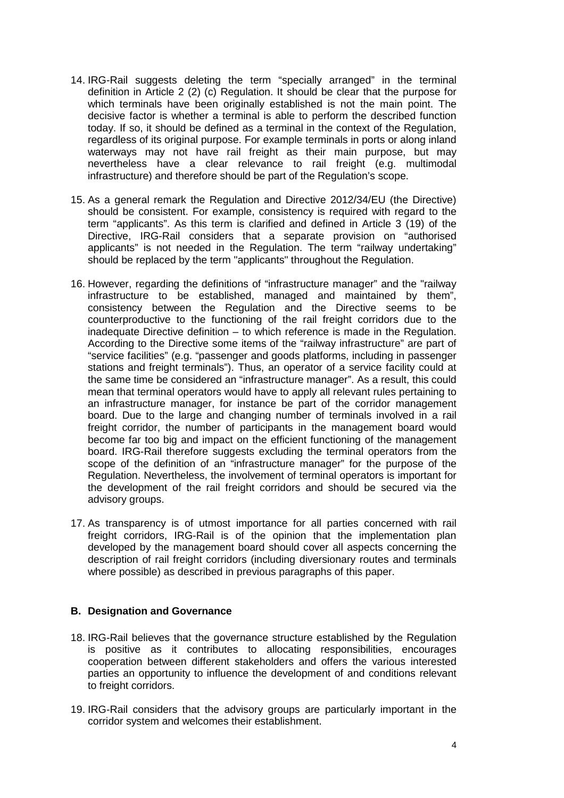- 14. IRG-Rail suggests deleting the term "specially arranged" in the terminal definition in Article 2 (2) (c) Regulation. It should be clear that the purpose for which terminals have been originally established is not the main point. The decisive factor is whether a terminal is able to perform the described function today. If so, it should be defined as a terminal in the context of the Regulation, regardless of its original purpose. For example terminals in ports or along inland waterways may not have rail freight as their main purpose, but may nevertheless have a clear relevance to rail freight (e.g. multimodal infrastructure) and therefore should be part of the Regulation's scope.
- 15. As a general remark the Regulation and Directive 2012/34/EU (the Directive) should be consistent. For example, consistency is required with regard to the term "applicants". As this term is clarified and defined in Article 3 (19) of the Directive, IRG-Rail considers that a separate provision on "authorised applicants" is not needed in the Regulation. The term "railway undertaking" should be replaced by the term "applicants" throughout the Regulation.
- 16. However, regarding the definitions of "infrastructure manager" and the "railway infrastructure to be established, managed and maintained by them", consistency between the Regulation and the Directive seems to be counterproductive to the functioning of the rail freight corridors due to the inadequate Directive definition – to which reference is made in the Regulation. According to the Directive some items of the "railway infrastructure" are part of "service facilities" (e.g. "passenger and goods platforms, including in passenger stations and freight terminals"). Thus, an operator of a service facility could at the same time be considered an "infrastructure manager". As a result, this could mean that terminal operators would have to apply all relevant rules pertaining to an infrastructure manager, for instance be part of the corridor management board. Due to the large and changing number of terminals involved in a rail freight corridor, the number of participants in the management board would become far too big and impact on the efficient functioning of the management board. IRG-Rail therefore suggests excluding the terminal operators from the scope of the definition of an "infrastructure manager" for the purpose of the Regulation. Nevertheless, the involvement of terminal operators is important for the development of the rail freight corridors and should be secured via the advisory groups.
- 17. As transparency is of utmost importance for all parties concerned with rail freight corridors, IRG-Rail is of the opinion that the implementation plan developed by the management board should cover all aspects concerning the description of rail freight corridors (including diversionary routes and terminals where possible) as described in previous paragraphs of this paper.

#### **B. Designation and Governance**

- 18. IRG-Rail believes that the governance structure established by the Regulation is positive as it contributes to allocating responsibilities, encourages cooperation between different stakeholders and offers the various interested parties an opportunity to influence the development of and conditions relevant to freight corridors.
- 19. IRG-Rail considers that the advisory groups are particularly important in the corridor system and welcomes their establishment.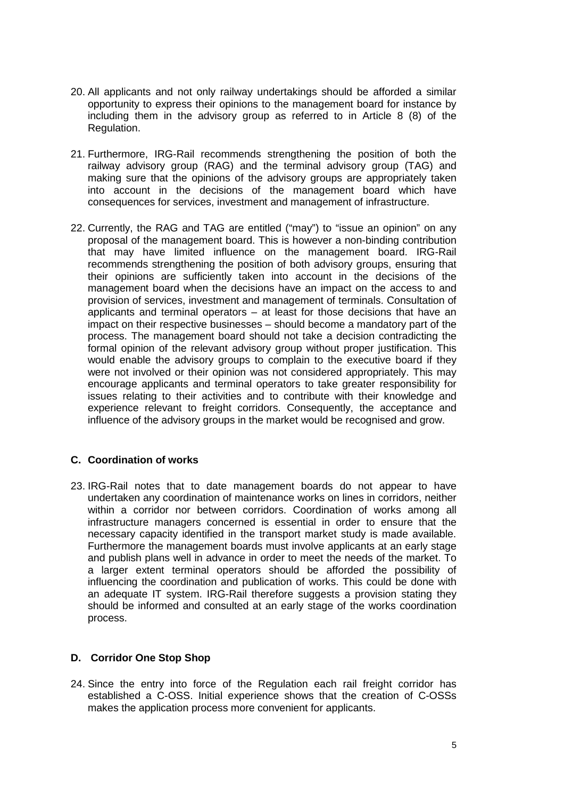- 20. All applicants and not only railway undertakings should be afforded a similar opportunity to express their opinions to the management board for instance by including them in the advisory group as referred to in Article 8 (8) of the Regulation.
- 21. Furthermore, IRG-Rail recommends strengthening the position of both the railway advisory group (RAG) and the terminal advisory group (TAG) and making sure that the opinions of the advisory groups are appropriately taken into account in the decisions of the management board which have consequences for services, investment and management of infrastructure.
- 22. Currently, the RAG and TAG are entitled ("may") to "issue an opinion" on any proposal of the management board. This is however a non-binding contribution that may have limited influence on the management board. IRG-Rail recommends strengthening the position of both advisory groups, ensuring that their opinions are sufficiently taken into account in the decisions of the management board when the decisions have an impact on the access to and provision of services, investment and management of terminals. Consultation of applicants and terminal operators – at least for those decisions that have an impact on their respective businesses – should become a mandatory part of the process. The management board should not take a decision contradicting the formal opinion of the relevant advisory group without proper justification. This would enable the advisory groups to complain to the executive board if they were not involved or their opinion was not considered appropriately. This may encourage applicants and terminal operators to take greater responsibility for issues relating to their activities and to contribute with their knowledge and experience relevant to freight corridors. Consequently, the acceptance and influence of the advisory groups in the market would be recognised and grow.

#### **C. Coordination of works**

23. IRG-Rail notes that to date management boards do not appear to have undertaken any coordination of maintenance works on lines in corridors, neither within a corridor nor between corridors. Coordination of works among all infrastructure managers concerned is essential in order to ensure that the necessary capacity identified in the transport market study is made available. Furthermore the management boards must involve applicants at an early stage and publish plans well in advance in order to meet the needs of the market. To a larger extent terminal operators should be afforded the possibility of influencing the coordination and publication of works. This could be done with an adequate IT system. IRG-Rail therefore suggests a provision stating they should be informed and consulted at an early stage of the works coordination process.

#### **D. Corridor One Stop Shop**

24. Since the entry into force of the Regulation each rail freight corridor has established a C-OSS. Initial experience shows that the creation of C-OSSs makes the application process more convenient for applicants.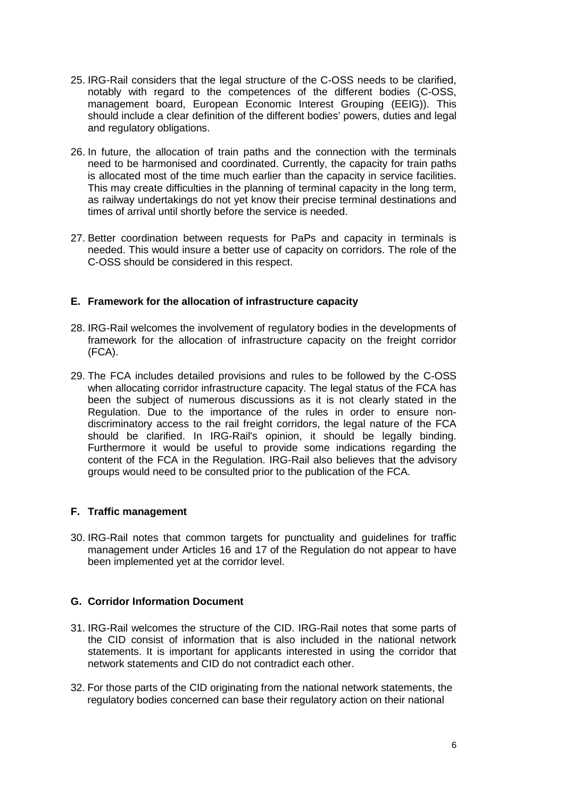- 25. IRG-Rail considers that the legal structure of the C-OSS needs to be clarified, notably with regard to the competences of the different bodies (C-OSS, management board, European Economic Interest Grouping (EEIG)). This should include a clear definition of the different bodies' powers, duties and legal and regulatory obligations.
- 26. In future, the allocation of train paths and the connection with the terminals need to be harmonised and coordinated. Currently, the capacity for train paths is allocated most of the time much earlier than the capacity in service facilities. This may create difficulties in the planning of terminal capacity in the long term, as railway undertakings do not yet know their precise terminal destinations and times of arrival until shortly before the service is needed.
- 27. Better coordination between requests for PaPs and capacity in terminals is needed. This would insure a better use of capacity on corridors. The role of the C-OSS should be considered in this respect.

#### **E. Framework for the allocation of infrastructure capacity**

- 28. IRG-Rail welcomes the involvement of regulatory bodies in the developments of framework for the allocation of infrastructure capacity on the freight corridor (FCA).
- 29. The FCA includes detailed provisions and rules to be followed by the C-OSS when allocating corridor infrastructure capacity. The legal status of the FCA has been the subject of numerous discussions as it is not clearly stated in the Regulation. Due to the importance of the rules in order to ensure nondiscriminatory access to the rail freight corridors, the legal nature of the FCA should be clarified. In IRG-Rail's opinion, it should be legally binding. Furthermore it would be useful to provide some indications regarding the content of the FCA in the Regulation. IRG-Rail also believes that the advisory groups would need to be consulted prior to the publication of the FCA.

#### **F. Traffic management**

30. IRG-Rail notes that common targets for punctuality and guidelines for traffic management under Articles 16 and 17 of the Regulation do not appear to have been implemented yet at the corridor level.

#### **G. Corridor Information Document**

- 31. IRG-Rail welcomes the structure of the CID. IRG-Rail notes that some parts of the CID consist of information that is also included in the national network statements. It is important for applicants interested in using the corridor that network statements and CID do not contradict each other.
- 32. For those parts of the CID originating from the national network statements, the regulatory bodies concerned can base their regulatory action on their national